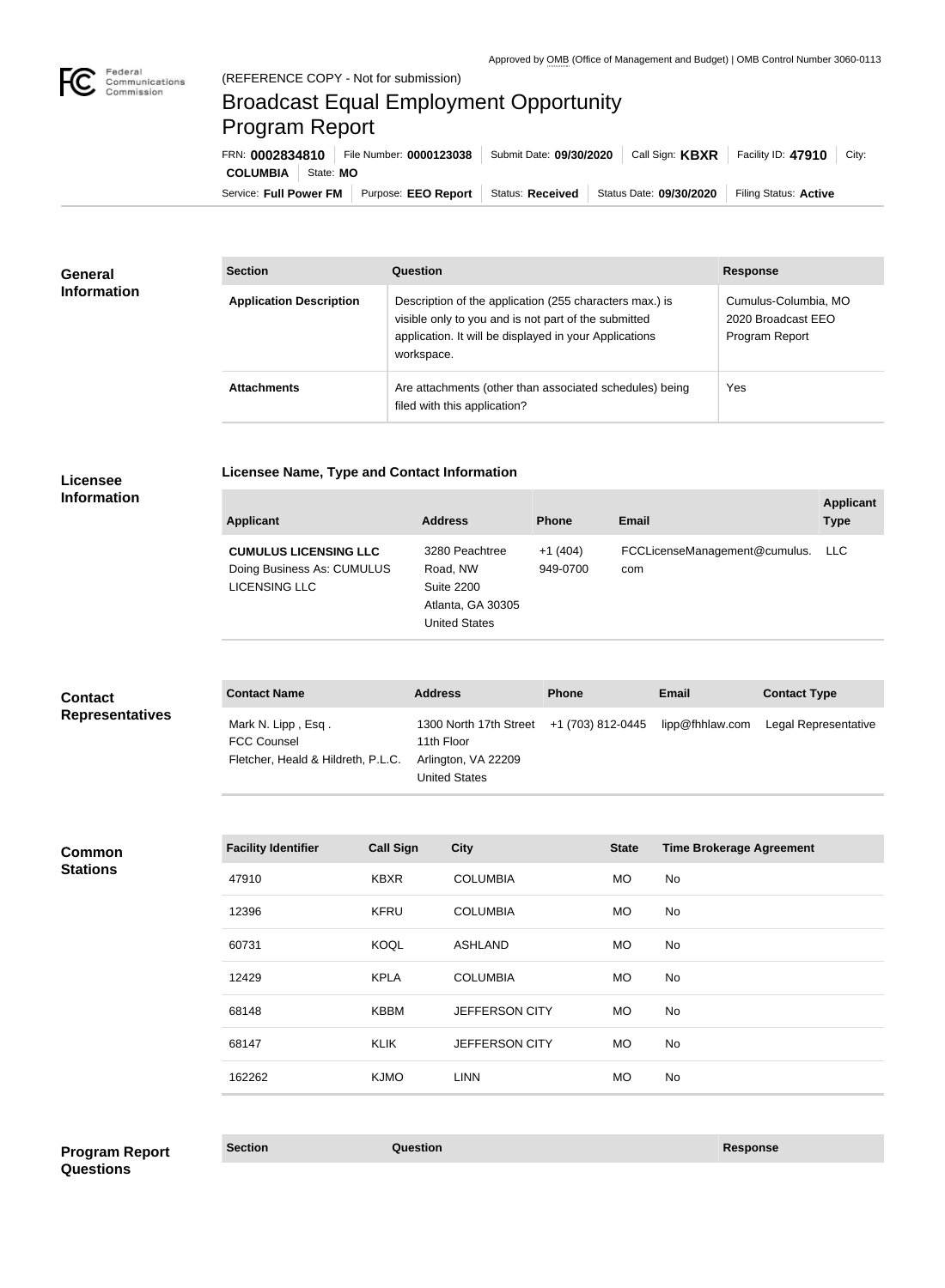

# Broadcast Equal Employment Opportunity Program Report

**Licensee Name, Type and Contact Information**

Service: Full Power FM | Purpose: EEO Report | Status: Received | Status Date: 09/30/2020 | Filing Status: Active **COLUMBIA** State: **MO** FRN: **0002834810** File Number: **0000123038** Submit Date: **09/30/2020** Call Sign: **KBXR** Facility ID: **47910** City:

| <b>General</b><br><b>Information</b> | <b>Section</b>                 | <b>Question</b>                                                                                                                                                                         | <b>Response</b>                                              |
|--------------------------------------|--------------------------------|-----------------------------------------------------------------------------------------------------------------------------------------------------------------------------------------|--------------------------------------------------------------|
|                                      | <b>Application Description</b> | Description of the application (255 characters max.) is<br>visible only to you and is not part of the submitted<br>application. It will be displayed in your Applications<br>workspace. | Cumulus-Columbia, MO<br>2020 Broadcast EEO<br>Program Report |
|                                      | <b>Attachments</b>             | Are attachments (other than associated schedules) being<br>filed with this application?                                                                                                 | Yes                                                          |

### **Licensee Information**

| <b>Applicant</b>                                                            | <b>Address</b>                                                                               | <b>Phone</b>          | <b>Email</b>                         | <b>Applicant</b><br><b>Type</b> |
|-----------------------------------------------------------------------------|----------------------------------------------------------------------------------------------|-----------------------|--------------------------------------|---------------------------------|
| <b>CUMULUS LICENSING LLC</b><br>Doing Business As: CUMULUS<br>LICENSING LLC | 3280 Peachtree<br>Road, NW<br><b>Suite 2200</b><br>Atlanta, GA 30305<br><b>United States</b> | $+1(404)$<br>949-0700 | FCCLicenseManagement@cumulus.<br>com | LLC.                            |

| <b>Contact</b>         | <b>Contact Name</b>                      | <b>Address</b>                                         | <b>Phone</b> | <b>Email</b>    | <b>Contact Type</b>  |
|------------------------|------------------------------------------|--------------------------------------------------------|--------------|-----------------|----------------------|
| <b>Representatives</b> | Mark N. Lipp, Esq.<br><b>FCC Counsel</b> | 1300 North 17th Street +1 (703) 812-0445<br>11th Floor |              | lipp@fhhlaw.com | Legal Representative |
|                        | Fletcher, Heald & Hildreth, P.L.C.       | Arlington, VA 22209                                    |              |                 |                      |
|                        |                                          | United States                                          |              |                 |                      |

**Common Stations**

| <b>Facility Identifier</b> | <b>Call Sign</b> | <b>City</b>           | <b>State</b> | <b>Time Brokerage Agreement</b> |
|----------------------------|------------------|-----------------------|--------------|---------------------------------|
| 47910                      | <b>KBXR</b>      | <b>COLUMBIA</b>       | <b>MO</b>    | No                              |
| 12396                      | <b>KFRU</b>      | <b>COLUMBIA</b>       | <b>MO</b>    | No                              |
| 60731                      | KOQL             | <b>ASHLAND</b>        | <b>MO</b>    | No                              |
| 12429                      | <b>KPLA</b>      | <b>COLUMBIA</b>       | <b>MO</b>    | No.                             |
| 68148                      | KBBM             | <b>JEFFERSON CITY</b> | <b>MO</b>    | No                              |
| 68147                      | <b>KLIK</b>      | <b>JEFFERSON CITY</b> | <b>MO</b>    | No                              |
| 162262                     | <b>KJMO</b>      | <b>LINN</b>           | <b>MO</b>    | No                              |

## **Section Question Response Program Report Questions**